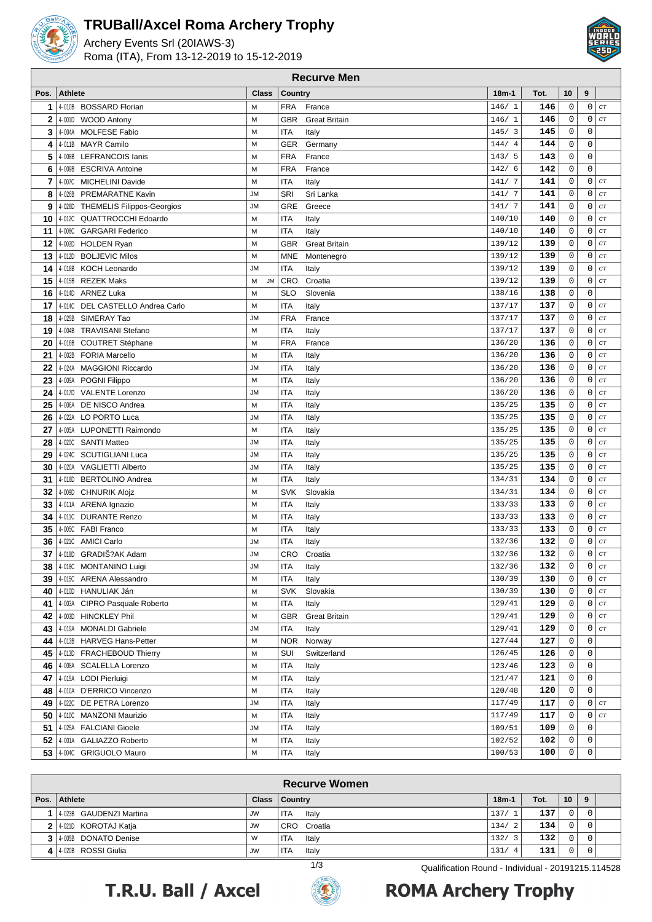

#### **TRUBall/Axcel Roma Archery Trophy**

Archery Events Srl (20IAWS-3) Roma (ITA), From 13-12-2019 to 15-12-2019



| 10<br>9<br><b>Athlete</b><br><b>Class</b><br>Country<br>$18m-1$<br>Tot.<br>Pos.<br>$\mathsf 0$<br>0<br>1<br>4-010B BOSSARD Florian<br><b>FRA</b><br>146/1<br>146<br>CT<br>M<br>France<br>$\mathsf 0$<br>$\mathbf 0$<br>146<br>CT<br><b>GBR</b><br><b>Great Britain</b><br>2<br>4-001D<br><b>WOOD Antony</b><br>M<br>146/1<br><b>MOLFESE Fabio</b><br><b>ITA</b><br>$\overline{3}$<br>145<br>0<br>$\mathbf 0$<br>4-004A<br>M<br>145/<br>3<br>Italy<br>$\mathsf 0$<br>144<br>$\mathbf 0$<br>4<br><b>MAYR Camilo</b><br>M<br><b>GER</b><br>Germany<br>144/<br>$\overline{4}$<br>4-011B<br><b>FRA</b><br>143<br>0<br>$\mathbf 0$<br>5<br><b>LEFRANCOIS lanis</b><br>M<br>France<br>143/<br>5<br>4-008B<br><b>FRA</b><br>142<br>0<br>$\mathbf 0$<br>6<br><b>ESCRIVA Antoine</b><br>France<br>4-009B<br>M<br>142/6<br>$\overline{7}$<br><b>ITA</b><br>141<br>0<br>$\mathbf 0$<br>CT<br><b>MICHELINI Davide</b><br>M<br>Italy<br>141/ 7<br>4-007C<br>141<br>0<br>$\mathbf 0$<br>8<br>4-026B PREMARATNE Kavin<br>SRI<br>141/ 7<br>CT<br><b>JM</b><br>Sri Lanka<br>141<br>0<br>$\mathbf 0$<br><b>GRE</b><br>Greece<br>141/7<br>CT<br>9<br>4 026D THEMELIS Filippos-Georgios<br><b>JM</b><br>140<br>4-012C QUATTROCCHI Edoardo<br><b>ITA</b><br>0<br>0<br>CT<br>10<br>M<br>Italy<br>140/10<br><b>ITA</b><br>140<br>0<br>$\mathbf 0$<br>CT<br>4-008C<br><b>GARGARI Federico</b><br>M<br>Italy<br>140/10<br>11<br>$\mathbf 0$<br>139/12<br>139<br>0<br>CT<br>M<br><b>GBR</b><br><b>Great Britain</b><br>12<br>4-002D<br><b>HOLDEN Ryan</b><br>$\mathbf 0$<br>139/12<br>139<br>$\mathbf 0$<br>CT<br>13<br>4-012D<br><b>BOLJEVIC Milos</b><br>M<br><b>MNE</b><br>Montenegro<br><b>KOCH Leonardo</b><br><b>ITA</b><br>139<br>$\mathbf 0$<br>$\mathbf 0$<br>CT<br>14<br>4-018B<br><b>JM</b><br>Italy<br>139/12<br>Croatia<br><b>REZEK Maks</b><br><b>CRO</b><br>139<br>0<br>CT<br>15<br>4-015B<br>M<br><b>JM</b><br>139/12<br>0<br>$\mathsf 0$<br>$\mathbf 0$<br>138<br>16<br><b>ARNEZ Luka</b><br><b>SLO</b><br>138/16<br>4-014D<br>M<br>Slovenia<br>137<br>0<br>$\mathbf 0$<br>17<br>4 014C DEL CASTELLO Andrea Carlo<br><b>ITA</b><br>137/17<br>CT<br>M<br>Italy<br>France<br>137<br>0<br>$\mathbf 0$<br>CT<br><b>FRA</b><br>18<br>4-025B SIMERAY Tao<br><b>JM</b><br>137/17<br>4-004B<br><b>TRAVISANI Stefano</b><br><b>ITA</b><br>137<br>0<br>$\mathbf 0$<br>CT<br>M<br>Italy<br>137/17<br>19<br>$\mathsf 0$<br>$\mathbf 0$<br><b>FRA</b><br>136<br>4-016B<br><b>COUTRET Stéphane</b><br>M<br>France<br>136/20<br>CT<br>20<br><b>ITA</b><br>136<br>0<br>$\mathbf 0$<br>CT<br>21<br><b>FORIA Marcello</b><br>136/20<br>4-002B<br>M<br>Italy<br>$\mathsf 0$<br><b>ITA</b><br>136<br>$\mathbf 0$<br>22<br><b>MAGGIONI Riccardo</b><br>CT<br>4-024A<br><b>JM</b><br>Italy<br>136/20<br><b>ITA</b><br>M<br>136/20<br>136<br>0<br>$\mathbf 0$<br>CT<br>23<br>4-009A<br>POGNI Filippo<br>Italy<br>136<br>24<br>4-017D VALENTE Lorenzo<br><b>ITA</b><br>136/20<br>0<br>0<br>CT<br><b>JM</b><br>Italy<br><b>ITA</b><br>135<br>0<br>$\mathbf 0$<br>25<br>DE NISCO Andrea<br>M<br>135/25<br>CT<br>4-006A<br>Italy<br>135<br>4-022A LO PORTO Luca<br><b>ITA</b><br>0<br>0<br>CT<br>26<br><b>JM</b><br>Italy<br>135/25<br><b>ITA</b><br>Italy<br>135<br>0<br>$\mathbf 0$<br>CT<br>4-005A LUPONETTI Raimondo<br>М<br>135/25<br>27<br>135/25<br>135<br>0<br>$\mathbf 0$<br>CT<br>28<br>4-020C SANTI Matteo<br><b>ITA</b><br><b>JM</b><br>Italy<br>$\mathsf 0$<br><b>ITA</b><br>135/25<br>135<br>$\mathbf 0$<br>29<br>4-024C<br><b>SCUTIGLIANI Luca</b><br><b>JM</b><br>CT<br>Italy<br>$\mathsf 0$<br>$\mathbf 0$<br><b>ITA</b><br>135<br>CT<br>30<br><b>JM</b><br>135/25<br>4-020A<br><b>VAGLIETTI Alberto</b><br>Italy<br><b>ITA</b><br><b>BERTOLINO Andrea</b><br>134/31<br>134<br>0<br>$\mathbf 0$<br>CT<br>4-016D<br>М<br>Italy<br>31<br>134<br>$\mathbf 0$<br>$\mathbf 0$<br>32<br><b>CHNURIK Alojz</b><br><b>SVK</b><br>Slovakia<br>134/31<br>CT<br>4-009D<br>М<br>133<br>0<br>33<br><b>ITA</b><br>133/33<br>0<br>CT<br>4-011A<br>ARENA Ignazio<br>М<br>Italy<br>$\mathsf 0$<br>133<br>$\mathbf 0$<br>34<br><b>DURANTE Renzo</b><br><b>ITA</b><br>CT<br>4-011C<br>М<br>Italy<br>133/33<br>4-005C FABI Franco<br><b>ITA</b><br>133<br>$\mathbf 0$<br>$\mathbf 0$<br>CT<br>35<br>М<br>Italy<br>133/33<br>$\mathsf 0$<br>132<br>$\mathbf 0$<br>36<br>4-021C AMICI Carlo<br><b>ITA</b><br>132/36<br>CT<br><b>JM</b><br>Italy<br>$\mathbf 0$<br>4018D GRADIŠ?AK Adam<br>132/36<br>132<br>0<br>CT<br>37<br><b>JM</b><br>CRO<br>Croatia<br>CT<br>4-018C MONTANINO Luigi<br><b>JM</b><br><b>ITA</b><br>132/36<br>132<br>0<br>0<br>38 I<br>Italy<br>0<br>$\mathsf{O}$<br>CT<br>4-015C ARENA Alessandro<br><b>ITA</b><br>130/39<br>130<br>M<br>Italy<br>39<br><b>SVK</b><br>130/39<br>130<br>0<br>0<br>CT<br>4-010D HANULIAK Ján<br>Slovakia<br>40<br>M<br>129/41<br>0<br>0<br>CT<br>4-003A CIPRO Pasquale Roberto<br><b>ITA</b><br>Italy<br>129<br>41<br>M<br>CT<br>4-003D HINCKLEY Phil<br><b>GBR</b><br><b>Great Britain</b><br>129<br>0<br>0<br>42<br>М<br>129/41<br><b>ITA</b><br>$\mathbf 0$<br>CT<br>43<br>4-019A MONALDI Gabriele<br><b>JM</b><br>Italy<br>129/41<br>129<br>0<br>127/44<br>127<br>0<br>$\mathbf 0$<br>4-013B HARVEG Hans-Petter<br><b>NOR</b><br>44  <br>M<br>Norway<br>126/45<br>126<br>$\mathbf 0$<br>$\mathbf 0$<br>45  <br>4-013D FRACHEBOUD Thierry<br>SUI<br>Switzerland<br>М<br>123<br>0<br>$\mathbf 0$<br>4-008A SCALELLA Lorenzo<br>M<br><b>ITA</b><br>123/46<br>46 I<br>Italy<br>4-015A LODI Pierluigi<br><b>ITA</b><br>121/47<br>0<br>$\mathbf 0$<br>47<br>M<br>Italy<br>121<br>0<br>$\mathbf 0$<br>120/48<br>4-010A D'ERRICO Vincenzo<br><b>ITA</b><br>120<br>48<br>M<br>Italy<br>117/49<br>0<br>$\mathsf{O}\xspace$<br>4-022C DE PETRA Lorenzo<br><b>ITA</b><br>117<br>CT<br>49<br>JM<br>Italy<br>0<br>0<br>CT<br>4-010C MANZONI Maurizio<br><b>ITA</b><br>117/49<br>117<br>50<br>M<br>Italy<br>51<br>4-025A FALCIANI Gioele<br><b>ITA</b><br>109/51<br>0<br>Italy<br>109<br>0<br>JM<br>0<br>52<br>4-001A GALIAZZO Roberto<br><b>ITA</b><br>102/52<br>102<br>0<br>М<br>Italy | <b>Recurve Men</b>       |   |            |       |        |     |   |             |  |
|-------------------------------------------------------------------------------------------------------------------------------------------------------------------------------------------------------------------------------------------------------------------------------------------------------------------------------------------------------------------------------------------------------------------------------------------------------------------------------------------------------------------------------------------------------------------------------------------------------------------------------------------------------------------------------------------------------------------------------------------------------------------------------------------------------------------------------------------------------------------------------------------------------------------------------------------------------------------------------------------------------------------------------------------------------------------------------------------------------------------------------------------------------------------------------------------------------------------------------------------------------------------------------------------------------------------------------------------------------------------------------------------------------------------------------------------------------------------------------------------------------------------------------------------------------------------------------------------------------------------------------------------------------------------------------------------------------------------------------------------------------------------------------------------------------------------------------------------------------------------------------------------------------------------------------------------------------------------------------------------------------------------------------------------------------------------------------------------------------------------------------------------------------------------------------------------------------------------------------------------------------------------------------------------------------------------------------------------------------------------------------------------------------------------------------------------------------------------------------------------------------------------------------------------------------------------------------------------------------------------------------------------------------------------------------------------------------------------------------------------------------------------------------------------------------------------------------------------------------------------------------------------------------------------------------------------------------------------------------------------------------------------------------------------------------------------------------------------------------------------------------------------------------------------------------------------------------------------------------------------------------------------------------------------------------------------------------------------------------------------------------------------------------------------------------------------------------------------------------------------------------------------------------------------------------------------------------------------------------------------------------------------------------------------------------------------------------------------------------------------------------------------------------------------------------------------------------------------------------------------------------------------------------------------------------------------------------------------------------------------------------------------------------------------------------------------------------------------------------------------------------------------------------------------------------------------------------------------------------------------------------------------------------------------------------------------------------------------------------------------------------------------------------------------------------------------------------------------------------------------------------------------------------------------------------------------------------------------------------------------------------------------------------------------------------------------------------------------------------------------------------------------------------------------------------------------------------------------------------------------------------------------------------------------------------------------------------------------------------------------------------------------------------------------------------------------------------------------------------------------------------------------------------------------------------------------------------------------------------------------------------------------------------------------------------------------------------------------------------------------------------------------------------------------------------------------------------------------------------------------------------------------------------------------------------------------------------------------------------------------------------------------------------------------------------------------------------------------------------------------------------------------------------------------------------------------------------------------------------------------------------------------------------------------------------------------------------------------------------------------------------------------------------------------------------------------------------------|--------------------------|---|------------|-------|--------|-----|---|-------------|--|
|                                                                                                                                                                                                                                                                                                                                                                                                                                                                                                                                                                                                                                                                                                                                                                                                                                                                                                                                                                                                                                                                                                                                                                                                                                                                                                                                                                                                                                                                                                                                                                                                                                                                                                                                                                                                                                                                                                                                                                                                                                                                                                                                                                                                                                                                                                                                                                                                                                                                                                                                                                                                                                                                                                                                                                                                                                                                                                                                                                                                                                                                                                                                                                                                                                                                                                                                                                                                                                                                                                                                                                                                                                                                                                                                                                                                                                                                                                                                                                                                                                                                                                                                                                                                                                                                                                                                                                                                                                                                                                                                                                                                                                                                                                                                                                                                                                                                                                                                                                                                                                                                                                                                                                                                                                                                                                                                                                                                                                                                                                                                                                                                                                                                                                                                                                                                                                                                                                                                                                                                                                                                                     |                          |   |            |       |        |     |   |             |  |
|                                                                                                                                                                                                                                                                                                                                                                                                                                                                                                                                                                                                                                                                                                                                                                                                                                                                                                                                                                                                                                                                                                                                                                                                                                                                                                                                                                                                                                                                                                                                                                                                                                                                                                                                                                                                                                                                                                                                                                                                                                                                                                                                                                                                                                                                                                                                                                                                                                                                                                                                                                                                                                                                                                                                                                                                                                                                                                                                                                                                                                                                                                                                                                                                                                                                                                                                                                                                                                                                                                                                                                                                                                                                                                                                                                                                                                                                                                                                                                                                                                                                                                                                                                                                                                                                                                                                                                                                                                                                                                                                                                                                                                                                                                                                                                                                                                                                                                                                                                                                                                                                                                                                                                                                                                                                                                                                                                                                                                                                                                                                                                                                                                                                                                                                                                                                                                                                                                                                                                                                                                                                                     |                          |   |            |       |        |     |   |             |  |
|                                                                                                                                                                                                                                                                                                                                                                                                                                                                                                                                                                                                                                                                                                                                                                                                                                                                                                                                                                                                                                                                                                                                                                                                                                                                                                                                                                                                                                                                                                                                                                                                                                                                                                                                                                                                                                                                                                                                                                                                                                                                                                                                                                                                                                                                                                                                                                                                                                                                                                                                                                                                                                                                                                                                                                                                                                                                                                                                                                                                                                                                                                                                                                                                                                                                                                                                                                                                                                                                                                                                                                                                                                                                                                                                                                                                                                                                                                                                                                                                                                                                                                                                                                                                                                                                                                                                                                                                                                                                                                                                                                                                                                                                                                                                                                                                                                                                                                                                                                                                                                                                                                                                                                                                                                                                                                                                                                                                                                                                                                                                                                                                                                                                                                                                                                                                                                                                                                                                                                                                                                                                                     |                          |   |            |       |        |     |   |             |  |
|                                                                                                                                                                                                                                                                                                                                                                                                                                                                                                                                                                                                                                                                                                                                                                                                                                                                                                                                                                                                                                                                                                                                                                                                                                                                                                                                                                                                                                                                                                                                                                                                                                                                                                                                                                                                                                                                                                                                                                                                                                                                                                                                                                                                                                                                                                                                                                                                                                                                                                                                                                                                                                                                                                                                                                                                                                                                                                                                                                                                                                                                                                                                                                                                                                                                                                                                                                                                                                                                                                                                                                                                                                                                                                                                                                                                                                                                                                                                                                                                                                                                                                                                                                                                                                                                                                                                                                                                                                                                                                                                                                                                                                                                                                                                                                                                                                                                                                                                                                                                                                                                                                                                                                                                                                                                                                                                                                                                                                                                                                                                                                                                                                                                                                                                                                                                                                                                                                                                                                                                                                                                                     |                          |   |            |       |        |     |   |             |  |
|                                                                                                                                                                                                                                                                                                                                                                                                                                                                                                                                                                                                                                                                                                                                                                                                                                                                                                                                                                                                                                                                                                                                                                                                                                                                                                                                                                                                                                                                                                                                                                                                                                                                                                                                                                                                                                                                                                                                                                                                                                                                                                                                                                                                                                                                                                                                                                                                                                                                                                                                                                                                                                                                                                                                                                                                                                                                                                                                                                                                                                                                                                                                                                                                                                                                                                                                                                                                                                                                                                                                                                                                                                                                                                                                                                                                                                                                                                                                                                                                                                                                                                                                                                                                                                                                                                                                                                                                                                                                                                                                                                                                                                                                                                                                                                                                                                                                                                                                                                                                                                                                                                                                                                                                                                                                                                                                                                                                                                                                                                                                                                                                                                                                                                                                                                                                                                                                                                                                                                                                                                                                                     |                          |   |            |       |        |     |   |             |  |
|                                                                                                                                                                                                                                                                                                                                                                                                                                                                                                                                                                                                                                                                                                                                                                                                                                                                                                                                                                                                                                                                                                                                                                                                                                                                                                                                                                                                                                                                                                                                                                                                                                                                                                                                                                                                                                                                                                                                                                                                                                                                                                                                                                                                                                                                                                                                                                                                                                                                                                                                                                                                                                                                                                                                                                                                                                                                                                                                                                                                                                                                                                                                                                                                                                                                                                                                                                                                                                                                                                                                                                                                                                                                                                                                                                                                                                                                                                                                                                                                                                                                                                                                                                                                                                                                                                                                                                                                                                                                                                                                                                                                                                                                                                                                                                                                                                                                                                                                                                                                                                                                                                                                                                                                                                                                                                                                                                                                                                                                                                                                                                                                                                                                                                                                                                                                                                                                                                                                                                                                                                                                                     |                          |   |            |       |        |     |   |             |  |
|                                                                                                                                                                                                                                                                                                                                                                                                                                                                                                                                                                                                                                                                                                                                                                                                                                                                                                                                                                                                                                                                                                                                                                                                                                                                                                                                                                                                                                                                                                                                                                                                                                                                                                                                                                                                                                                                                                                                                                                                                                                                                                                                                                                                                                                                                                                                                                                                                                                                                                                                                                                                                                                                                                                                                                                                                                                                                                                                                                                                                                                                                                                                                                                                                                                                                                                                                                                                                                                                                                                                                                                                                                                                                                                                                                                                                                                                                                                                                                                                                                                                                                                                                                                                                                                                                                                                                                                                                                                                                                                                                                                                                                                                                                                                                                                                                                                                                                                                                                                                                                                                                                                                                                                                                                                                                                                                                                                                                                                                                                                                                                                                                                                                                                                                                                                                                                                                                                                                                                                                                                                                                     |                          |   |            |       |        |     |   |             |  |
|                                                                                                                                                                                                                                                                                                                                                                                                                                                                                                                                                                                                                                                                                                                                                                                                                                                                                                                                                                                                                                                                                                                                                                                                                                                                                                                                                                                                                                                                                                                                                                                                                                                                                                                                                                                                                                                                                                                                                                                                                                                                                                                                                                                                                                                                                                                                                                                                                                                                                                                                                                                                                                                                                                                                                                                                                                                                                                                                                                                                                                                                                                                                                                                                                                                                                                                                                                                                                                                                                                                                                                                                                                                                                                                                                                                                                                                                                                                                                                                                                                                                                                                                                                                                                                                                                                                                                                                                                                                                                                                                                                                                                                                                                                                                                                                                                                                                                                                                                                                                                                                                                                                                                                                                                                                                                                                                                                                                                                                                                                                                                                                                                                                                                                                                                                                                                                                                                                                                                                                                                                                                                     |                          |   |            |       |        |     |   |             |  |
|                                                                                                                                                                                                                                                                                                                                                                                                                                                                                                                                                                                                                                                                                                                                                                                                                                                                                                                                                                                                                                                                                                                                                                                                                                                                                                                                                                                                                                                                                                                                                                                                                                                                                                                                                                                                                                                                                                                                                                                                                                                                                                                                                                                                                                                                                                                                                                                                                                                                                                                                                                                                                                                                                                                                                                                                                                                                                                                                                                                                                                                                                                                                                                                                                                                                                                                                                                                                                                                                                                                                                                                                                                                                                                                                                                                                                                                                                                                                                                                                                                                                                                                                                                                                                                                                                                                                                                                                                                                                                                                                                                                                                                                                                                                                                                                                                                                                                                                                                                                                                                                                                                                                                                                                                                                                                                                                                                                                                                                                                                                                                                                                                                                                                                                                                                                                                                                                                                                                                                                                                                                                                     |                          |   |            |       |        |     |   |             |  |
|                                                                                                                                                                                                                                                                                                                                                                                                                                                                                                                                                                                                                                                                                                                                                                                                                                                                                                                                                                                                                                                                                                                                                                                                                                                                                                                                                                                                                                                                                                                                                                                                                                                                                                                                                                                                                                                                                                                                                                                                                                                                                                                                                                                                                                                                                                                                                                                                                                                                                                                                                                                                                                                                                                                                                                                                                                                                                                                                                                                                                                                                                                                                                                                                                                                                                                                                                                                                                                                                                                                                                                                                                                                                                                                                                                                                                                                                                                                                                                                                                                                                                                                                                                                                                                                                                                                                                                                                                                                                                                                                                                                                                                                                                                                                                                                                                                                                                                                                                                                                                                                                                                                                                                                                                                                                                                                                                                                                                                                                                                                                                                                                                                                                                                                                                                                                                                                                                                                                                                                                                                                                                     |                          |   |            |       |        |     |   |             |  |
|                                                                                                                                                                                                                                                                                                                                                                                                                                                                                                                                                                                                                                                                                                                                                                                                                                                                                                                                                                                                                                                                                                                                                                                                                                                                                                                                                                                                                                                                                                                                                                                                                                                                                                                                                                                                                                                                                                                                                                                                                                                                                                                                                                                                                                                                                                                                                                                                                                                                                                                                                                                                                                                                                                                                                                                                                                                                                                                                                                                                                                                                                                                                                                                                                                                                                                                                                                                                                                                                                                                                                                                                                                                                                                                                                                                                                                                                                                                                                                                                                                                                                                                                                                                                                                                                                                                                                                                                                                                                                                                                                                                                                                                                                                                                                                                                                                                                                                                                                                                                                                                                                                                                                                                                                                                                                                                                                                                                                                                                                                                                                                                                                                                                                                                                                                                                                                                                                                                                                                                                                                                                                     |                          |   |            |       |        |     |   |             |  |
|                                                                                                                                                                                                                                                                                                                                                                                                                                                                                                                                                                                                                                                                                                                                                                                                                                                                                                                                                                                                                                                                                                                                                                                                                                                                                                                                                                                                                                                                                                                                                                                                                                                                                                                                                                                                                                                                                                                                                                                                                                                                                                                                                                                                                                                                                                                                                                                                                                                                                                                                                                                                                                                                                                                                                                                                                                                                                                                                                                                                                                                                                                                                                                                                                                                                                                                                                                                                                                                                                                                                                                                                                                                                                                                                                                                                                                                                                                                                                                                                                                                                                                                                                                                                                                                                                                                                                                                                                                                                                                                                                                                                                                                                                                                                                                                                                                                                                                                                                                                                                                                                                                                                                                                                                                                                                                                                                                                                                                                                                                                                                                                                                                                                                                                                                                                                                                                                                                                                                                                                                                                                                     |                          |   |            |       |        |     |   |             |  |
|                                                                                                                                                                                                                                                                                                                                                                                                                                                                                                                                                                                                                                                                                                                                                                                                                                                                                                                                                                                                                                                                                                                                                                                                                                                                                                                                                                                                                                                                                                                                                                                                                                                                                                                                                                                                                                                                                                                                                                                                                                                                                                                                                                                                                                                                                                                                                                                                                                                                                                                                                                                                                                                                                                                                                                                                                                                                                                                                                                                                                                                                                                                                                                                                                                                                                                                                                                                                                                                                                                                                                                                                                                                                                                                                                                                                                                                                                                                                                                                                                                                                                                                                                                                                                                                                                                                                                                                                                                                                                                                                                                                                                                                                                                                                                                                                                                                                                                                                                                                                                                                                                                                                                                                                                                                                                                                                                                                                                                                                                                                                                                                                                                                                                                                                                                                                                                                                                                                                                                                                                                                                                     |                          |   |            |       |        |     |   |             |  |
|                                                                                                                                                                                                                                                                                                                                                                                                                                                                                                                                                                                                                                                                                                                                                                                                                                                                                                                                                                                                                                                                                                                                                                                                                                                                                                                                                                                                                                                                                                                                                                                                                                                                                                                                                                                                                                                                                                                                                                                                                                                                                                                                                                                                                                                                                                                                                                                                                                                                                                                                                                                                                                                                                                                                                                                                                                                                                                                                                                                                                                                                                                                                                                                                                                                                                                                                                                                                                                                                                                                                                                                                                                                                                                                                                                                                                                                                                                                                                                                                                                                                                                                                                                                                                                                                                                                                                                                                                                                                                                                                                                                                                                                                                                                                                                                                                                                                                                                                                                                                                                                                                                                                                                                                                                                                                                                                                                                                                                                                                                                                                                                                                                                                                                                                                                                                                                                                                                                                                                                                                                                                                     |                          |   |            |       |        |     |   |             |  |
|                                                                                                                                                                                                                                                                                                                                                                                                                                                                                                                                                                                                                                                                                                                                                                                                                                                                                                                                                                                                                                                                                                                                                                                                                                                                                                                                                                                                                                                                                                                                                                                                                                                                                                                                                                                                                                                                                                                                                                                                                                                                                                                                                                                                                                                                                                                                                                                                                                                                                                                                                                                                                                                                                                                                                                                                                                                                                                                                                                                                                                                                                                                                                                                                                                                                                                                                                                                                                                                                                                                                                                                                                                                                                                                                                                                                                                                                                                                                                                                                                                                                                                                                                                                                                                                                                                                                                                                                                                                                                                                                                                                                                                                                                                                                                                                                                                                                                                                                                                                                                                                                                                                                                                                                                                                                                                                                                                                                                                                                                                                                                                                                                                                                                                                                                                                                                                                                                                                                                                                                                                                                                     |                          |   |            |       |        |     |   |             |  |
|                                                                                                                                                                                                                                                                                                                                                                                                                                                                                                                                                                                                                                                                                                                                                                                                                                                                                                                                                                                                                                                                                                                                                                                                                                                                                                                                                                                                                                                                                                                                                                                                                                                                                                                                                                                                                                                                                                                                                                                                                                                                                                                                                                                                                                                                                                                                                                                                                                                                                                                                                                                                                                                                                                                                                                                                                                                                                                                                                                                                                                                                                                                                                                                                                                                                                                                                                                                                                                                                                                                                                                                                                                                                                                                                                                                                                                                                                                                                                                                                                                                                                                                                                                                                                                                                                                                                                                                                                                                                                                                                                                                                                                                                                                                                                                                                                                                                                                                                                                                                                                                                                                                                                                                                                                                                                                                                                                                                                                                                                                                                                                                                                                                                                                                                                                                                                                                                                                                                                                                                                                                                                     |                          |   |            |       |        |     |   |             |  |
|                                                                                                                                                                                                                                                                                                                                                                                                                                                                                                                                                                                                                                                                                                                                                                                                                                                                                                                                                                                                                                                                                                                                                                                                                                                                                                                                                                                                                                                                                                                                                                                                                                                                                                                                                                                                                                                                                                                                                                                                                                                                                                                                                                                                                                                                                                                                                                                                                                                                                                                                                                                                                                                                                                                                                                                                                                                                                                                                                                                                                                                                                                                                                                                                                                                                                                                                                                                                                                                                                                                                                                                                                                                                                                                                                                                                                                                                                                                                                                                                                                                                                                                                                                                                                                                                                                                                                                                                                                                                                                                                                                                                                                                                                                                                                                                                                                                                                                                                                                                                                                                                                                                                                                                                                                                                                                                                                                                                                                                                                                                                                                                                                                                                                                                                                                                                                                                                                                                                                                                                                                                                                     |                          |   |            |       |        |     |   |             |  |
|                                                                                                                                                                                                                                                                                                                                                                                                                                                                                                                                                                                                                                                                                                                                                                                                                                                                                                                                                                                                                                                                                                                                                                                                                                                                                                                                                                                                                                                                                                                                                                                                                                                                                                                                                                                                                                                                                                                                                                                                                                                                                                                                                                                                                                                                                                                                                                                                                                                                                                                                                                                                                                                                                                                                                                                                                                                                                                                                                                                                                                                                                                                                                                                                                                                                                                                                                                                                                                                                                                                                                                                                                                                                                                                                                                                                                                                                                                                                                                                                                                                                                                                                                                                                                                                                                                                                                                                                                                                                                                                                                                                                                                                                                                                                                                                                                                                                                                                                                                                                                                                                                                                                                                                                                                                                                                                                                                                                                                                                                                                                                                                                                                                                                                                                                                                                                                                                                                                                                                                                                                                                                     |                          |   |            |       |        |     |   |             |  |
|                                                                                                                                                                                                                                                                                                                                                                                                                                                                                                                                                                                                                                                                                                                                                                                                                                                                                                                                                                                                                                                                                                                                                                                                                                                                                                                                                                                                                                                                                                                                                                                                                                                                                                                                                                                                                                                                                                                                                                                                                                                                                                                                                                                                                                                                                                                                                                                                                                                                                                                                                                                                                                                                                                                                                                                                                                                                                                                                                                                                                                                                                                                                                                                                                                                                                                                                                                                                                                                                                                                                                                                                                                                                                                                                                                                                                                                                                                                                                                                                                                                                                                                                                                                                                                                                                                                                                                                                                                                                                                                                                                                                                                                                                                                                                                                                                                                                                                                                                                                                                                                                                                                                                                                                                                                                                                                                                                                                                                                                                                                                                                                                                                                                                                                                                                                                                                                                                                                                                                                                                                                                                     |                          |   |            |       |        |     |   |             |  |
|                                                                                                                                                                                                                                                                                                                                                                                                                                                                                                                                                                                                                                                                                                                                                                                                                                                                                                                                                                                                                                                                                                                                                                                                                                                                                                                                                                                                                                                                                                                                                                                                                                                                                                                                                                                                                                                                                                                                                                                                                                                                                                                                                                                                                                                                                                                                                                                                                                                                                                                                                                                                                                                                                                                                                                                                                                                                                                                                                                                                                                                                                                                                                                                                                                                                                                                                                                                                                                                                                                                                                                                                                                                                                                                                                                                                                                                                                                                                                                                                                                                                                                                                                                                                                                                                                                                                                                                                                                                                                                                                                                                                                                                                                                                                                                                                                                                                                                                                                                                                                                                                                                                                                                                                                                                                                                                                                                                                                                                                                                                                                                                                                                                                                                                                                                                                                                                                                                                                                                                                                                                                                     |                          |   |            |       |        |     |   |             |  |
|                                                                                                                                                                                                                                                                                                                                                                                                                                                                                                                                                                                                                                                                                                                                                                                                                                                                                                                                                                                                                                                                                                                                                                                                                                                                                                                                                                                                                                                                                                                                                                                                                                                                                                                                                                                                                                                                                                                                                                                                                                                                                                                                                                                                                                                                                                                                                                                                                                                                                                                                                                                                                                                                                                                                                                                                                                                                                                                                                                                                                                                                                                                                                                                                                                                                                                                                                                                                                                                                                                                                                                                                                                                                                                                                                                                                                                                                                                                                                                                                                                                                                                                                                                                                                                                                                                                                                                                                                                                                                                                                                                                                                                                                                                                                                                                                                                                                                                                                                                                                                                                                                                                                                                                                                                                                                                                                                                                                                                                                                                                                                                                                                                                                                                                                                                                                                                                                                                                                                                                                                                                                                     |                          |   |            |       |        |     |   |             |  |
|                                                                                                                                                                                                                                                                                                                                                                                                                                                                                                                                                                                                                                                                                                                                                                                                                                                                                                                                                                                                                                                                                                                                                                                                                                                                                                                                                                                                                                                                                                                                                                                                                                                                                                                                                                                                                                                                                                                                                                                                                                                                                                                                                                                                                                                                                                                                                                                                                                                                                                                                                                                                                                                                                                                                                                                                                                                                                                                                                                                                                                                                                                                                                                                                                                                                                                                                                                                                                                                                                                                                                                                                                                                                                                                                                                                                                                                                                                                                                                                                                                                                                                                                                                                                                                                                                                                                                                                                                                                                                                                                                                                                                                                                                                                                                                                                                                                                                                                                                                                                                                                                                                                                                                                                                                                                                                                                                                                                                                                                                                                                                                                                                                                                                                                                                                                                                                                                                                                                                                                                                                                                                     |                          |   |            |       |        |     |   |             |  |
|                                                                                                                                                                                                                                                                                                                                                                                                                                                                                                                                                                                                                                                                                                                                                                                                                                                                                                                                                                                                                                                                                                                                                                                                                                                                                                                                                                                                                                                                                                                                                                                                                                                                                                                                                                                                                                                                                                                                                                                                                                                                                                                                                                                                                                                                                                                                                                                                                                                                                                                                                                                                                                                                                                                                                                                                                                                                                                                                                                                                                                                                                                                                                                                                                                                                                                                                                                                                                                                                                                                                                                                                                                                                                                                                                                                                                                                                                                                                                                                                                                                                                                                                                                                                                                                                                                                                                                                                                                                                                                                                                                                                                                                                                                                                                                                                                                                                                                                                                                                                                                                                                                                                                                                                                                                                                                                                                                                                                                                                                                                                                                                                                                                                                                                                                                                                                                                                                                                                                                                                                                                                                     |                          |   |            |       |        |     |   |             |  |
|                                                                                                                                                                                                                                                                                                                                                                                                                                                                                                                                                                                                                                                                                                                                                                                                                                                                                                                                                                                                                                                                                                                                                                                                                                                                                                                                                                                                                                                                                                                                                                                                                                                                                                                                                                                                                                                                                                                                                                                                                                                                                                                                                                                                                                                                                                                                                                                                                                                                                                                                                                                                                                                                                                                                                                                                                                                                                                                                                                                                                                                                                                                                                                                                                                                                                                                                                                                                                                                                                                                                                                                                                                                                                                                                                                                                                                                                                                                                                                                                                                                                                                                                                                                                                                                                                                                                                                                                                                                                                                                                                                                                                                                                                                                                                                                                                                                                                                                                                                                                                                                                                                                                                                                                                                                                                                                                                                                                                                                                                                                                                                                                                                                                                                                                                                                                                                                                                                                                                                                                                                                                                     |                          |   |            |       |        |     |   |             |  |
|                                                                                                                                                                                                                                                                                                                                                                                                                                                                                                                                                                                                                                                                                                                                                                                                                                                                                                                                                                                                                                                                                                                                                                                                                                                                                                                                                                                                                                                                                                                                                                                                                                                                                                                                                                                                                                                                                                                                                                                                                                                                                                                                                                                                                                                                                                                                                                                                                                                                                                                                                                                                                                                                                                                                                                                                                                                                                                                                                                                                                                                                                                                                                                                                                                                                                                                                                                                                                                                                                                                                                                                                                                                                                                                                                                                                                                                                                                                                                                                                                                                                                                                                                                                                                                                                                                                                                                                                                                                                                                                                                                                                                                                                                                                                                                                                                                                                                                                                                                                                                                                                                                                                                                                                                                                                                                                                                                                                                                                                                                                                                                                                                                                                                                                                                                                                                                                                                                                                                                                                                                                                                     |                          |   |            |       |        |     |   |             |  |
|                                                                                                                                                                                                                                                                                                                                                                                                                                                                                                                                                                                                                                                                                                                                                                                                                                                                                                                                                                                                                                                                                                                                                                                                                                                                                                                                                                                                                                                                                                                                                                                                                                                                                                                                                                                                                                                                                                                                                                                                                                                                                                                                                                                                                                                                                                                                                                                                                                                                                                                                                                                                                                                                                                                                                                                                                                                                                                                                                                                                                                                                                                                                                                                                                                                                                                                                                                                                                                                                                                                                                                                                                                                                                                                                                                                                                                                                                                                                                                                                                                                                                                                                                                                                                                                                                                                                                                                                                                                                                                                                                                                                                                                                                                                                                                                                                                                                                                                                                                                                                                                                                                                                                                                                                                                                                                                                                                                                                                                                                                                                                                                                                                                                                                                                                                                                                                                                                                                                                                                                                                                                                     |                          |   |            |       |        |     |   |             |  |
|                                                                                                                                                                                                                                                                                                                                                                                                                                                                                                                                                                                                                                                                                                                                                                                                                                                                                                                                                                                                                                                                                                                                                                                                                                                                                                                                                                                                                                                                                                                                                                                                                                                                                                                                                                                                                                                                                                                                                                                                                                                                                                                                                                                                                                                                                                                                                                                                                                                                                                                                                                                                                                                                                                                                                                                                                                                                                                                                                                                                                                                                                                                                                                                                                                                                                                                                                                                                                                                                                                                                                                                                                                                                                                                                                                                                                                                                                                                                                                                                                                                                                                                                                                                                                                                                                                                                                                                                                                                                                                                                                                                                                                                                                                                                                                                                                                                                                                                                                                                                                                                                                                                                                                                                                                                                                                                                                                                                                                                                                                                                                                                                                                                                                                                                                                                                                                                                                                                                                                                                                                                                                     |                          |   |            |       |        |     |   |             |  |
|                                                                                                                                                                                                                                                                                                                                                                                                                                                                                                                                                                                                                                                                                                                                                                                                                                                                                                                                                                                                                                                                                                                                                                                                                                                                                                                                                                                                                                                                                                                                                                                                                                                                                                                                                                                                                                                                                                                                                                                                                                                                                                                                                                                                                                                                                                                                                                                                                                                                                                                                                                                                                                                                                                                                                                                                                                                                                                                                                                                                                                                                                                                                                                                                                                                                                                                                                                                                                                                                                                                                                                                                                                                                                                                                                                                                                                                                                                                                                                                                                                                                                                                                                                                                                                                                                                                                                                                                                                                                                                                                                                                                                                                                                                                                                                                                                                                                                                                                                                                                                                                                                                                                                                                                                                                                                                                                                                                                                                                                                                                                                                                                                                                                                                                                                                                                                                                                                                                                                                                                                                                                                     |                          |   |            |       |        |     |   |             |  |
|                                                                                                                                                                                                                                                                                                                                                                                                                                                                                                                                                                                                                                                                                                                                                                                                                                                                                                                                                                                                                                                                                                                                                                                                                                                                                                                                                                                                                                                                                                                                                                                                                                                                                                                                                                                                                                                                                                                                                                                                                                                                                                                                                                                                                                                                                                                                                                                                                                                                                                                                                                                                                                                                                                                                                                                                                                                                                                                                                                                                                                                                                                                                                                                                                                                                                                                                                                                                                                                                                                                                                                                                                                                                                                                                                                                                                                                                                                                                                                                                                                                                                                                                                                                                                                                                                                                                                                                                                                                                                                                                                                                                                                                                                                                                                                                                                                                                                                                                                                                                                                                                                                                                                                                                                                                                                                                                                                                                                                                                                                                                                                                                                                                                                                                                                                                                                                                                                                                                                                                                                                                                                     |                          |   |            |       |        |     |   |             |  |
|                                                                                                                                                                                                                                                                                                                                                                                                                                                                                                                                                                                                                                                                                                                                                                                                                                                                                                                                                                                                                                                                                                                                                                                                                                                                                                                                                                                                                                                                                                                                                                                                                                                                                                                                                                                                                                                                                                                                                                                                                                                                                                                                                                                                                                                                                                                                                                                                                                                                                                                                                                                                                                                                                                                                                                                                                                                                                                                                                                                                                                                                                                                                                                                                                                                                                                                                                                                                                                                                                                                                                                                                                                                                                                                                                                                                                                                                                                                                                                                                                                                                                                                                                                                                                                                                                                                                                                                                                                                                                                                                                                                                                                                                                                                                                                                                                                                                                                                                                                                                                                                                                                                                                                                                                                                                                                                                                                                                                                                                                                                                                                                                                                                                                                                                                                                                                                                                                                                                                                                                                                                                                     |                          |   |            |       |        |     |   |             |  |
|                                                                                                                                                                                                                                                                                                                                                                                                                                                                                                                                                                                                                                                                                                                                                                                                                                                                                                                                                                                                                                                                                                                                                                                                                                                                                                                                                                                                                                                                                                                                                                                                                                                                                                                                                                                                                                                                                                                                                                                                                                                                                                                                                                                                                                                                                                                                                                                                                                                                                                                                                                                                                                                                                                                                                                                                                                                                                                                                                                                                                                                                                                                                                                                                                                                                                                                                                                                                                                                                                                                                                                                                                                                                                                                                                                                                                                                                                                                                                                                                                                                                                                                                                                                                                                                                                                                                                                                                                                                                                                                                                                                                                                                                                                                                                                                                                                                                                                                                                                                                                                                                                                                                                                                                                                                                                                                                                                                                                                                                                                                                                                                                                                                                                                                                                                                                                                                                                                                                                                                                                                                                                     |                          |   |            |       |        |     |   |             |  |
|                                                                                                                                                                                                                                                                                                                                                                                                                                                                                                                                                                                                                                                                                                                                                                                                                                                                                                                                                                                                                                                                                                                                                                                                                                                                                                                                                                                                                                                                                                                                                                                                                                                                                                                                                                                                                                                                                                                                                                                                                                                                                                                                                                                                                                                                                                                                                                                                                                                                                                                                                                                                                                                                                                                                                                                                                                                                                                                                                                                                                                                                                                                                                                                                                                                                                                                                                                                                                                                                                                                                                                                                                                                                                                                                                                                                                                                                                                                                                                                                                                                                                                                                                                                                                                                                                                                                                                                                                                                                                                                                                                                                                                                                                                                                                                                                                                                                                                                                                                                                                                                                                                                                                                                                                                                                                                                                                                                                                                                                                                                                                                                                                                                                                                                                                                                                                                                                                                                                                                                                                                                                                     |                          |   |            |       |        |     |   |             |  |
|                                                                                                                                                                                                                                                                                                                                                                                                                                                                                                                                                                                                                                                                                                                                                                                                                                                                                                                                                                                                                                                                                                                                                                                                                                                                                                                                                                                                                                                                                                                                                                                                                                                                                                                                                                                                                                                                                                                                                                                                                                                                                                                                                                                                                                                                                                                                                                                                                                                                                                                                                                                                                                                                                                                                                                                                                                                                                                                                                                                                                                                                                                                                                                                                                                                                                                                                                                                                                                                                                                                                                                                                                                                                                                                                                                                                                                                                                                                                                                                                                                                                                                                                                                                                                                                                                                                                                                                                                                                                                                                                                                                                                                                                                                                                                                                                                                                                                                                                                                                                                                                                                                                                                                                                                                                                                                                                                                                                                                                                                                                                                                                                                                                                                                                                                                                                                                                                                                                                                                                                                                                                                     |                          |   |            |       |        |     |   |             |  |
|                                                                                                                                                                                                                                                                                                                                                                                                                                                                                                                                                                                                                                                                                                                                                                                                                                                                                                                                                                                                                                                                                                                                                                                                                                                                                                                                                                                                                                                                                                                                                                                                                                                                                                                                                                                                                                                                                                                                                                                                                                                                                                                                                                                                                                                                                                                                                                                                                                                                                                                                                                                                                                                                                                                                                                                                                                                                                                                                                                                                                                                                                                                                                                                                                                                                                                                                                                                                                                                                                                                                                                                                                                                                                                                                                                                                                                                                                                                                                                                                                                                                                                                                                                                                                                                                                                                                                                                                                                                                                                                                                                                                                                                                                                                                                                                                                                                                                                                                                                                                                                                                                                                                                                                                                                                                                                                                                                                                                                                                                                                                                                                                                                                                                                                                                                                                                                                                                                                                                                                                                                                                                     |                          |   |            |       |        |     |   |             |  |
|                                                                                                                                                                                                                                                                                                                                                                                                                                                                                                                                                                                                                                                                                                                                                                                                                                                                                                                                                                                                                                                                                                                                                                                                                                                                                                                                                                                                                                                                                                                                                                                                                                                                                                                                                                                                                                                                                                                                                                                                                                                                                                                                                                                                                                                                                                                                                                                                                                                                                                                                                                                                                                                                                                                                                                                                                                                                                                                                                                                                                                                                                                                                                                                                                                                                                                                                                                                                                                                                                                                                                                                                                                                                                                                                                                                                                                                                                                                                                                                                                                                                                                                                                                                                                                                                                                                                                                                                                                                                                                                                                                                                                                                                                                                                                                                                                                                                                                                                                                                                                                                                                                                                                                                                                                                                                                                                                                                                                                                                                                                                                                                                                                                                                                                                                                                                                                                                                                                                                                                                                                                                                     |                          |   |            |       |        |     |   |             |  |
|                                                                                                                                                                                                                                                                                                                                                                                                                                                                                                                                                                                                                                                                                                                                                                                                                                                                                                                                                                                                                                                                                                                                                                                                                                                                                                                                                                                                                                                                                                                                                                                                                                                                                                                                                                                                                                                                                                                                                                                                                                                                                                                                                                                                                                                                                                                                                                                                                                                                                                                                                                                                                                                                                                                                                                                                                                                                                                                                                                                                                                                                                                                                                                                                                                                                                                                                                                                                                                                                                                                                                                                                                                                                                                                                                                                                                                                                                                                                                                                                                                                                                                                                                                                                                                                                                                                                                                                                                                                                                                                                                                                                                                                                                                                                                                                                                                                                                                                                                                                                                                                                                                                                                                                                                                                                                                                                                                                                                                                                                                                                                                                                                                                                                                                                                                                                                                                                                                                                                                                                                                                                                     |                          |   |            |       |        |     |   |             |  |
|                                                                                                                                                                                                                                                                                                                                                                                                                                                                                                                                                                                                                                                                                                                                                                                                                                                                                                                                                                                                                                                                                                                                                                                                                                                                                                                                                                                                                                                                                                                                                                                                                                                                                                                                                                                                                                                                                                                                                                                                                                                                                                                                                                                                                                                                                                                                                                                                                                                                                                                                                                                                                                                                                                                                                                                                                                                                                                                                                                                                                                                                                                                                                                                                                                                                                                                                                                                                                                                                                                                                                                                                                                                                                                                                                                                                                                                                                                                                                                                                                                                                                                                                                                                                                                                                                                                                                                                                                                                                                                                                                                                                                                                                                                                                                                                                                                                                                                                                                                                                                                                                                                                                                                                                                                                                                                                                                                                                                                                                                                                                                                                                                                                                                                                                                                                                                                                                                                                                                                                                                                                                                     |                          |   |            |       |        |     |   |             |  |
|                                                                                                                                                                                                                                                                                                                                                                                                                                                                                                                                                                                                                                                                                                                                                                                                                                                                                                                                                                                                                                                                                                                                                                                                                                                                                                                                                                                                                                                                                                                                                                                                                                                                                                                                                                                                                                                                                                                                                                                                                                                                                                                                                                                                                                                                                                                                                                                                                                                                                                                                                                                                                                                                                                                                                                                                                                                                                                                                                                                                                                                                                                                                                                                                                                                                                                                                                                                                                                                                                                                                                                                                                                                                                                                                                                                                                                                                                                                                                                                                                                                                                                                                                                                                                                                                                                                                                                                                                                                                                                                                                                                                                                                                                                                                                                                                                                                                                                                                                                                                                                                                                                                                                                                                                                                                                                                                                                                                                                                                                                                                                                                                                                                                                                                                                                                                                                                                                                                                                                                                                                                                                     |                          |   |            |       |        |     |   |             |  |
|                                                                                                                                                                                                                                                                                                                                                                                                                                                                                                                                                                                                                                                                                                                                                                                                                                                                                                                                                                                                                                                                                                                                                                                                                                                                                                                                                                                                                                                                                                                                                                                                                                                                                                                                                                                                                                                                                                                                                                                                                                                                                                                                                                                                                                                                                                                                                                                                                                                                                                                                                                                                                                                                                                                                                                                                                                                                                                                                                                                                                                                                                                                                                                                                                                                                                                                                                                                                                                                                                                                                                                                                                                                                                                                                                                                                                                                                                                                                                                                                                                                                                                                                                                                                                                                                                                                                                                                                                                                                                                                                                                                                                                                                                                                                                                                                                                                                                                                                                                                                                                                                                                                                                                                                                                                                                                                                                                                                                                                                                                                                                                                                                                                                                                                                                                                                                                                                                                                                                                                                                                                                                     |                          |   |            |       |        |     |   |             |  |
|                                                                                                                                                                                                                                                                                                                                                                                                                                                                                                                                                                                                                                                                                                                                                                                                                                                                                                                                                                                                                                                                                                                                                                                                                                                                                                                                                                                                                                                                                                                                                                                                                                                                                                                                                                                                                                                                                                                                                                                                                                                                                                                                                                                                                                                                                                                                                                                                                                                                                                                                                                                                                                                                                                                                                                                                                                                                                                                                                                                                                                                                                                                                                                                                                                                                                                                                                                                                                                                                                                                                                                                                                                                                                                                                                                                                                                                                                                                                                                                                                                                                                                                                                                                                                                                                                                                                                                                                                                                                                                                                                                                                                                                                                                                                                                                                                                                                                                                                                                                                                                                                                                                                                                                                                                                                                                                                                                                                                                                                                                                                                                                                                                                                                                                                                                                                                                                                                                                                                                                                                                                                                     |                          |   |            |       |        |     |   |             |  |
|                                                                                                                                                                                                                                                                                                                                                                                                                                                                                                                                                                                                                                                                                                                                                                                                                                                                                                                                                                                                                                                                                                                                                                                                                                                                                                                                                                                                                                                                                                                                                                                                                                                                                                                                                                                                                                                                                                                                                                                                                                                                                                                                                                                                                                                                                                                                                                                                                                                                                                                                                                                                                                                                                                                                                                                                                                                                                                                                                                                                                                                                                                                                                                                                                                                                                                                                                                                                                                                                                                                                                                                                                                                                                                                                                                                                                                                                                                                                                                                                                                                                                                                                                                                                                                                                                                                                                                                                                                                                                                                                                                                                                                                                                                                                                                                                                                                                                                                                                                                                                                                                                                                                                                                                                                                                                                                                                                                                                                                                                                                                                                                                                                                                                                                                                                                                                                                                                                                                                                                                                                                                                     |                          |   |            |       |        |     |   |             |  |
|                                                                                                                                                                                                                                                                                                                                                                                                                                                                                                                                                                                                                                                                                                                                                                                                                                                                                                                                                                                                                                                                                                                                                                                                                                                                                                                                                                                                                                                                                                                                                                                                                                                                                                                                                                                                                                                                                                                                                                                                                                                                                                                                                                                                                                                                                                                                                                                                                                                                                                                                                                                                                                                                                                                                                                                                                                                                                                                                                                                                                                                                                                                                                                                                                                                                                                                                                                                                                                                                                                                                                                                                                                                                                                                                                                                                                                                                                                                                                                                                                                                                                                                                                                                                                                                                                                                                                                                                                                                                                                                                                                                                                                                                                                                                                                                                                                                                                                                                                                                                                                                                                                                                                                                                                                                                                                                                                                                                                                                                                                                                                                                                                                                                                                                                                                                                                                                                                                                                                                                                                                                                                     |                          |   |            |       |        |     |   |             |  |
|                                                                                                                                                                                                                                                                                                                                                                                                                                                                                                                                                                                                                                                                                                                                                                                                                                                                                                                                                                                                                                                                                                                                                                                                                                                                                                                                                                                                                                                                                                                                                                                                                                                                                                                                                                                                                                                                                                                                                                                                                                                                                                                                                                                                                                                                                                                                                                                                                                                                                                                                                                                                                                                                                                                                                                                                                                                                                                                                                                                                                                                                                                                                                                                                                                                                                                                                                                                                                                                                                                                                                                                                                                                                                                                                                                                                                                                                                                                                                                                                                                                                                                                                                                                                                                                                                                                                                                                                                                                                                                                                                                                                                                                                                                                                                                                                                                                                                                                                                                                                                                                                                                                                                                                                                                                                                                                                                                                                                                                                                                                                                                                                                                                                                                                                                                                                                                                                                                                                                                                                                                                                                     |                          |   |            |       |        |     |   |             |  |
|                                                                                                                                                                                                                                                                                                                                                                                                                                                                                                                                                                                                                                                                                                                                                                                                                                                                                                                                                                                                                                                                                                                                                                                                                                                                                                                                                                                                                                                                                                                                                                                                                                                                                                                                                                                                                                                                                                                                                                                                                                                                                                                                                                                                                                                                                                                                                                                                                                                                                                                                                                                                                                                                                                                                                                                                                                                                                                                                                                                                                                                                                                                                                                                                                                                                                                                                                                                                                                                                                                                                                                                                                                                                                                                                                                                                                                                                                                                                                                                                                                                                                                                                                                                                                                                                                                                                                                                                                                                                                                                                                                                                                                                                                                                                                                                                                                                                                                                                                                                                                                                                                                                                                                                                                                                                                                                                                                                                                                                                                                                                                                                                                                                                                                                                                                                                                                                                                                                                                                                                                                                                                     |                          |   |            |       |        |     |   |             |  |
|                                                                                                                                                                                                                                                                                                                                                                                                                                                                                                                                                                                                                                                                                                                                                                                                                                                                                                                                                                                                                                                                                                                                                                                                                                                                                                                                                                                                                                                                                                                                                                                                                                                                                                                                                                                                                                                                                                                                                                                                                                                                                                                                                                                                                                                                                                                                                                                                                                                                                                                                                                                                                                                                                                                                                                                                                                                                                                                                                                                                                                                                                                                                                                                                                                                                                                                                                                                                                                                                                                                                                                                                                                                                                                                                                                                                                                                                                                                                                                                                                                                                                                                                                                                                                                                                                                                                                                                                                                                                                                                                                                                                                                                                                                                                                                                                                                                                                                                                                                                                                                                                                                                                                                                                                                                                                                                                                                                                                                                                                                                                                                                                                                                                                                                                                                                                                                                                                                                                                                                                                                                                                     |                          |   |            |       |        |     |   |             |  |
|                                                                                                                                                                                                                                                                                                                                                                                                                                                                                                                                                                                                                                                                                                                                                                                                                                                                                                                                                                                                                                                                                                                                                                                                                                                                                                                                                                                                                                                                                                                                                                                                                                                                                                                                                                                                                                                                                                                                                                                                                                                                                                                                                                                                                                                                                                                                                                                                                                                                                                                                                                                                                                                                                                                                                                                                                                                                                                                                                                                                                                                                                                                                                                                                                                                                                                                                                                                                                                                                                                                                                                                                                                                                                                                                                                                                                                                                                                                                                                                                                                                                                                                                                                                                                                                                                                                                                                                                                                                                                                                                                                                                                                                                                                                                                                                                                                                                                                                                                                                                                                                                                                                                                                                                                                                                                                                                                                                                                                                                                                                                                                                                                                                                                                                                                                                                                                                                                                                                                                                                                                                                                     |                          |   |            |       |        |     |   |             |  |
|                                                                                                                                                                                                                                                                                                                                                                                                                                                                                                                                                                                                                                                                                                                                                                                                                                                                                                                                                                                                                                                                                                                                                                                                                                                                                                                                                                                                                                                                                                                                                                                                                                                                                                                                                                                                                                                                                                                                                                                                                                                                                                                                                                                                                                                                                                                                                                                                                                                                                                                                                                                                                                                                                                                                                                                                                                                                                                                                                                                                                                                                                                                                                                                                                                                                                                                                                                                                                                                                                                                                                                                                                                                                                                                                                                                                                                                                                                                                                                                                                                                                                                                                                                                                                                                                                                                                                                                                                                                                                                                                                                                                                                                                                                                                                                                                                                                                                                                                                                                                                                                                                                                                                                                                                                                                                                                                                                                                                                                                                                                                                                                                                                                                                                                                                                                                                                                                                                                                                                                                                                                                                     |                          |   |            |       |        |     |   |             |  |
|                                                                                                                                                                                                                                                                                                                                                                                                                                                                                                                                                                                                                                                                                                                                                                                                                                                                                                                                                                                                                                                                                                                                                                                                                                                                                                                                                                                                                                                                                                                                                                                                                                                                                                                                                                                                                                                                                                                                                                                                                                                                                                                                                                                                                                                                                                                                                                                                                                                                                                                                                                                                                                                                                                                                                                                                                                                                                                                                                                                                                                                                                                                                                                                                                                                                                                                                                                                                                                                                                                                                                                                                                                                                                                                                                                                                                                                                                                                                                                                                                                                                                                                                                                                                                                                                                                                                                                                                                                                                                                                                                                                                                                                                                                                                                                                                                                                                                                                                                                                                                                                                                                                                                                                                                                                                                                                                                                                                                                                                                                                                                                                                                                                                                                                                                                                                                                                                                                                                                                                                                                                                                     |                          |   |            |       |        |     |   |             |  |
|                                                                                                                                                                                                                                                                                                                                                                                                                                                                                                                                                                                                                                                                                                                                                                                                                                                                                                                                                                                                                                                                                                                                                                                                                                                                                                                                                                                                                                                                                                                                                                                                                                                                                                                                                                                                                                                                                                                                                                                                                                                                                                                                                                                                                                                                                                                                                                                                                                                                                                                                                                                                                                                                                                                                                                                                                                                                                                                                                                                                                                                                                                                                                                                                                                                                                                                                                                                                                                                                                                                                                                                                                                                                                                                                                                                                                                                                                                                                                                                                                                                                                                                                                                                                                                                                                                                                                                                                                                                                                                                                                                                                                                                                                                                                                                                                                                                                                                                                                                                                                                                                                                                                                                                                                                                                                                                                                                                                                                                                                                                                                                                                                                                                                                                                                                                                                                                                                                                                                                                                                                                                                     |                          |   |            |       |        |     |   |             |  |
|                                                                                                                                                                                                                                                                                                                                                                                                                                                                                                                                                                                                                                                                                                                                                                                                                                                                                                                                                                                                                                                                                                                                                                                                                                                                                                                                                                                                                                                                                                                                                                                                                                                                                                                                                                                                                                                                                                                                                                                                                                                                                                                                                                                                                                                                                                                                                                                                                                                                                                                                                                                                                                                                                                                                                                                                                                                                                                                                                                                                                                                                                                                                                                                                                                                                                                                                                                                                                                                                                                                                                                                                                                                                                                                                                                                                                                                                                                                                                                                                                                                                                                                                                                                                                                                                                                                                                                                                                                                                                                                                                                                                                                                                                                                                                                                                                                                                                                                                                                                                                                                                                                                                                                                                                                                                                                                                                                                                                                                                                                                                                                                                                                                                                                                                                                                                                                                                                                                                                                                                                                                                                     |                          |   |            |       |        |     |   |             |  |
|                                                                                                                                                                                                                                                                                                                                                                                                                                                                                                                                                                                                                                                                                                                                                                                                                                                                                                                                                                                                                                                                                                                                                                                                                                                                                                                                                                                                                                                                                                                                                                                                                                                                                                                                                                                                                                                                                                                                                                                                                                                                                                                                                                                                                                                                                                                                                                                                                                                                                                                                                                                                                                                                                                                                                                                                                                                                                                                                                                                                                                                                                                                                                                                                                                                                                                                                                                                                                                                                                                                                                                                                                                                                                                                                                                                                                                                                                                                                                                                                                                                                                                                                                                                                                                                                                                                                                                                                                                                                                                                                                                                                                                                                                                                                                                                                                                                                                                                                                                                                                                                                                                                                                                                                                                                                                                                                                                                                                                                                                                                                                                                                                                                                                                                                                                                                                                                                                                                                                                                                                                                                                     |                          |   |            |       |        |     |   |             |  |
|                                                                                                                                                                                                                                                                                                                                                                                                                                                                                                                                                                                                                                                                                                                                                                                                                                                                                                                                                                                                                                                                                                                                                                                                                                                                                                                                                                                                                                                                                                                                                                                                                                                                                                                                                                                                                                                                                                                                                                                                                                                                                                                                                                                                                                                                                                                                                                                                                                                                                                                                                                                                                                                                                                                                                                                                                                                                                                                                                                                                                                                                                                                                                                                                                                                                                                                                                                                                                                                                                                                                                                                                                                                                                                                                                                                                                                                                                                                                                                                                                                                                                                                                                                                                                                                                                                                                                                                                                                                                                                                                                                                                                                                                                                                                                                                                                                                                                                                                                                                                                                                                                                                                                                                                                                                                                                                                                                                                                                                                                                                                                                                                                                                                                                                                                                                                                                                                                                                                                                                                                                                                                     |                          |   |            |       |        |     |   |             |  |
|                                                                                                                                                                                                                                                                                                                                                                                                                                                                                                                                                                                                                                                                                                                                                                                                                                                                                                                                                                                                                                                                                                                                                                                                                                                                                                                                                                                                                                                                                                                                                                                                                                                                                                                                                                                                                                                                                                                                                                                                                                                                                                                                                                                                                                                                                                                                                                                                                                                                                                                                                                                                                                                                                                                                                                                                                                                                                                                                                                                                                                                                                                                                                                                                                                                                                                                                                                                                                                                                                                                                                                                                                                                                                                                                                                                                                                                                                                                                                                                                                                                                                                                                                                                                                                                                                                                                                                                                                                                                                                                                                                                                                                                                                                                                                                                                                                                                                                                                                                                                                                                                                                                                                                                                                                                                                                                                                                                                                                                                                                                                                                                                                                                                                                                                                                                                                                                                                                                                                                                                                                                                                     | 53 4 004C GRIGUOLO Mauro | М | <b>ITA</b> | Italy | 100/53 | 100 | 0 | $\mathbf 0$ |  |

|      | <b>Recurve Women</b>    |              |                     |                        |      |                 |   |  |  |  |
|------|-------------------------|--------------|---------------------|------------------------|------|-----------------|---|--|--|--|
| Pos. | Athlete                 | <b>Class</b> | <b>Country</b>      | $18m-1$                | Tot. | 10 <sup>°</sup> | 9 |  |  |  |
|      | 4-023B GAUDENZI Martina | <b>JW</b>    | <b>ITA</b><br>Italy | 137/                   | 137  |                 |   |  |  |  |
|      | 2 4 0210 KOROTAJ Katja  | <b>JW</b>    | Croatia<br>CRO      | 134/2                  | 134  |                 |   |  |  |  |
|      | 3 4 005B DONATO Denise  | W            | <b>ITA</b><br>Italy | 132/                   | 132  |                 |   |  |  |  |
|      | 4-020B ROSSI Giulia     | <b>JW</b>    | <b>ITA</b><br>Italy | 131/<br>$\overline{4}$ | 131  |                 |   |  |  |  |





## **ROMA Archery Trophy**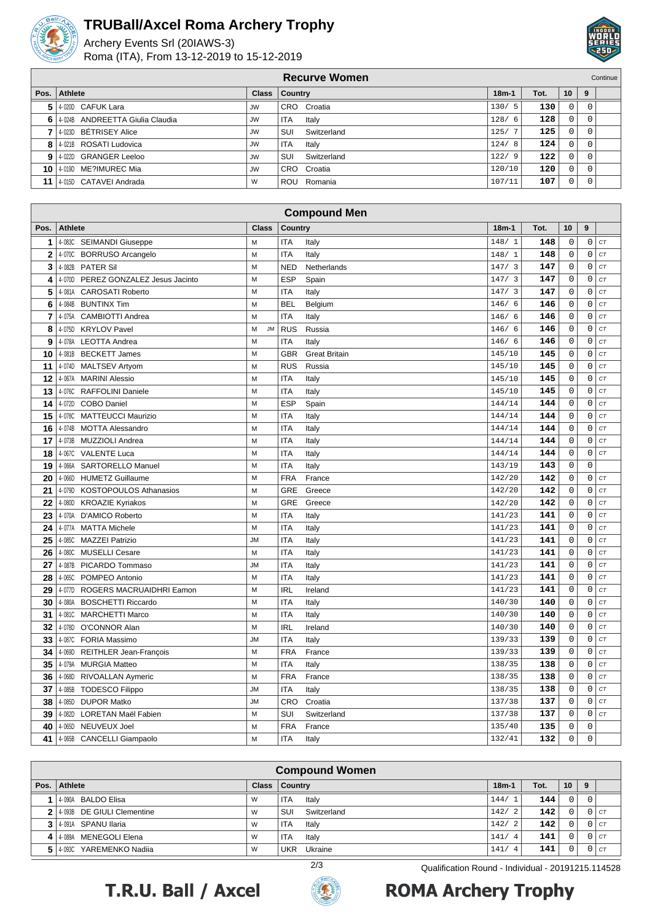

### **TRUBall/Axcel Roma Archery Trophy**

Archery Events Srl (20IAWS-3) Roma (ITA), From 13-12-2019 to 15-12-2019



|      | <b>Recurve Women</b><br>Continue  |           |                     |         |      |                 |   |  |  |  |
|------|-----------------------------------|-----------|---------------------|---------|------|-----------------|---|--|--|--|
|      | Pos. Athlete                      |           | Class   Country     | $18m-1$ | Tot. | 10 <sup>1</sup> | 9 |  |  |  |
|      | 5 4 020D CAFUK Lara               | JW        | CRO Croatia         | 130/5   | 130  | 0               |   |  |  |  |
|      | 6 4 024B ANDREETTA Giulia Claudia | JW        | <b>ITA</b><br>Italy | 128/6   | 128  | $\Omega$        |   |  |  |  |
|      | 4-023D BÉTRISEY Alice             | <b>JW</b> | SUI<br>Switzerland  | 125/    | 125  | $\Omega$        |   |  |  |  |
|      | 8 4 021B ROSATI Ludovica          | <b>JW</b> | <b>ITA</b><br>Italy | 124/8   | 124  | $\Omega$        |   |  |  |  |
|      | 9 4 022D GRANGER Leeloo           | <b>JW</b> | SUI<br>Switzerland  | 122/9   | 122  | $\Omega$        |   |  |  |  |
| 10 I | 40190 ME?IMUREC Mia               | <b>JW</b> | CRO Croatia         | 120/10  | 120  | $\Omega$        |   |  |  |  |
| 11   | 4-015D CATAVEI Andrada            | W         | Romania<br>ROU      | 107/11  | 107  | 0               |   |  |  |  |

|                | <b>Compound Men</b>                       |                |                |                      |           |      |             |                     |    |
|----------------|-------------------------------------------|----------------|----------------|----------------------|-----------|------|-------------|---------------------|----|
| Pos.           | <b>Athlete</b>                            | <b>Class</b>   | <b>Country</b> |                      | $18m-1$   | Tot. | 10          | 9                   |    |
| 1              | 4-083C SEIMANDI Giuseppe                  | м              | <b>ITA</b>     | Italy                | 148/1     | 148  | 0           | $\mathsf 0$         | CT |
| $\overline{2}$ | 4-070C BORRUSO Arcangelo                  | M              | <b>ITA</b>     | Italy                | 148/1     | 148  | $\mathsf 0$ | $\mathbf 0$         | CT |
| 3              | 4-082B<br><b>PATER Sil</b>                | M              | <b>NED</b>     | Netherlands          | 147/3     | 147  | $\mathbf 0$ | $\mathbf 0$         | CT |
| 4              | PEREZ GONZALEZ Jesus Jacinto<br>4-070D    | м              | <b>ESP</b>     | Spain                | 147/3     | 147  | $\mathsf 0$ | $\mathbf 0$         | CT |
| 5              | 4-081A CAROSATI Roberto                   | M              | ITA            | Italy                | 147/3     | 147  | $\mathbf 0$ | $\mathbf 0$         | CT |
| 6              | 4-084B<br><b>BUNTINX Tim</b>              | M              | <b>BEL</b>     | Belgium              | 146/<br>6 | 146  | $\mathsf 0$ | $\mathbf 0$         | CT |
| 7              | 4-075A<br><b>CAMBIOTTI Andrea</b>         | M              | <b>ITA</b>     | Italy                | 146/<br>6 | 146  | $\mathsf 0$ | $\mathbf 0$         | CT |
| 8              | 4-075D<br><b>KRYLOV Pavel</b>             | M<br><b>JM</b> | <b>RUS</b>     | Russia               | 146/6     | 146  | $\mathbf 0$ | $\mathbf 0$         | CT |
| 9              | 4-078A LEOTTA Andrea                      | M              | <b>ITA</b>     | Italy                | 146/6     | 146  | 0           | $\mathbf 0$         | CT |
| 10             | 4-081B BECKETT James                      | M              | <b>GBR</b>     | <b>Great Britain</b> | 145/10    | 145  | $\mathsf 0$ | $\mathbf 0$         | CT |
| 11             | 4-074D<br>MALTSEV Artyom                  | M              | <b>RUS</b>     | Russia               | 145/10    | 145  | $\mathbf 0$ | $\mathbf 0$         | CT |
| 12             | 4-067A MARINI Alessio                     | М              | <b>ITA</b>     | Italy                | 145/10    | 145  | 0           | $\mathbf 0$         | CT |
| 13             | 4-076C<br>RAFFOLINI Daniele               | M              | <b>ITA</b>     | Italy                | 145/10    | 145  | $\mathbf 0$ | $\mathbf 0$         | CT |
| 14             | <b>COBO Daniel</b><br>4-072D              | M              | <b>ESP</b>     | Spain                | 144/14    | 144  | $\mathsf 0$ | 0                   | CT |
| 15             | 4-078C MATTEUCCI Maurizio                 | M              | <b>ITA</b>     | Italy                | 144/14    | 144  | $\mathsf 0$ | 0                   | CT |
| 16             | 4-074B<br><b>MOTTA Alessandro</b>         | M              | <b>ITA</b>     | Italy                | 144/14    | 144  | $\mathbf 0$ | $\mathbf 0$         | CT |
| 17             | 4-073B<br>MUZZIOLI Andrea                 | M              | <b>ITA</b>     | Italy                | 144/14    | 144  | 0           | $\mathbf 0$         | CT |
| 18             | 4-067C<br><b>VALENTE Luca</b>             | M              | <b>ITA</b>     | Italy                | 144/14    | 144  | $\mathsf 0$ | $\mathsf{O}\xspace$ | CT |
| 19             | 4-066A SARTORELLO Manuel                  | M              | <b>ITA</b>     | Italy                | 143/19    | 143  | $\mathbf 0$ | $\mathbf 0$         |    |
| 20             | 4-066D<br><b>HUMETZ Guillaume</b>         | M              | <b>FRA</b>     | France               | 142/20    | 142  | 0           | $\mathbf 0$         | CT |
| 21             | 4-079D<br>KOSTOPOULOS Athanasios          | M              | <b>GRE</b>     | Greece               | 142/20    | 142  | $\mathbf 0$ | $\mathbf 0$         | CT |
| 22             | <b>KROAZIE Kyriakos</b><br>4-080D         | м              | <b>GRE</b>     | Greece               | 142/20    | 142  | $\mathsf 0$ | $\mathbf 0$         | CT |
| 23             | 4-070A D'AMICO Roberto                    | M              | <b>ITA</b>     | Italy                | 141/23    | 141  | 0           | $\mathbf 0$         | CT |
| 24             | 4-077A MATTA Michele                      | M              | <b>ITA</b>     | Italy                | 141/23    | 141  | $\mathbf 0$ | $\mathbf 0$         | CT |
| 25             | <b>MAZZEI Patrizio</b><br>4-085C          | <b>JM</b>      | <b>ITA</b>     | Italy                | 141/23    | 141  | $\mathsf 0$ | 0                   | CT |
| 26             | 4-080C<br><b>MUSELLI Cesare</b>           | M              | <b>ITA</b>     | Italy                | 141/23    | 141  | $\mathsf 0$ | 0                   | CT |
| 27             | 4-087B PICARDO Tommaso                    | <b>JM</b>      | <b>ITA</b>     | Italy                | 141/23    | 141  | $\mathbf 0$ | $\mathbf 0$         | CT |
| 28             | 4-065C<br>POMPEO Antonio                  | M              | <b>ITA</b>     | Italy                | 141/23    | 141  | $\mathsf 0$ | $\mathsf{O}\xspace$ | CT |
| 29             | 4-077D<br><b>ROGERS MACRUAIDHRI Eamon</b> | M              | <b>IRL</b>     | Ireland              | 141/23    | 141  | $\mathbf 0$ | $\mathbf 0$         | CT |
| 30             | 4-080A BOSCHETTI Riccardo                 | M              | <b>ITA</b>     | Italy                | 140/30    | 140  | $\mathbf 0$ | $\mathbf 0$         | CT |
| 31             | <b>MARCHETTI Marco</b><br>4-081C          | M              | <b>ITA</b>     | Italy                | 140/30    | 140  | $\mathsf 0$ | $\mathbf 0$         | CT |
| 32             | O'CONNOR Alan<br>4-078D                   | M              | <b>IRL</b>     | Ireland              | 140/30    | 140  | $\mathbf 0$ | $\mathbf 0$         | CT |
| 33             | 4-087C FORIA Massimo                      | <b>JM</b>      | <b>ITA</b>     | Italy                | 139/33    | 139  | 0           | 0                   | CT |
| 34             | 4-069D<br>REITHLER Jean-François          | M              | <b>FRA</b>     | France               | 139/33    | 139  | $\mathsf 0$ | $\mathbf 0$         | CT |
| 35             | 4-079A<br><b>MURGIA Matteo</b>            | M              | <b>ITA</b>     | Italy                | 138/35    | 138  | 0           | $\mathbf 0$         | CT |
| 36             | 4-068D<br>RIVOALLAN Aymeric               | M              | <b>FRA</b>     | France               | 138/35    | 138  | $\mathsf 0$ | $\mathbf 0$         | CT |
| 37             | 4-085B<br><b>TODESCO Filippo</b>          | <b>JM</b>      | <b>ITA</b>     | Italy                | 138/35    | 138  | $\mathbf 0$ | $\mathbf 0$         | CT |
| 38             | 4-085D DUPOR Matko                        | <b>JM</b>      | <b>CRO</b>     | Croatia              | 137/38    | 137  | $\mathbf 0$ | $\mathbf 0$         | CT |
| 39             | 4-082D<br>LORETAN Maël Fabien             | M              | SUI            | Switzerland          | 137/38    | 137  | $\mathsf 0$ | $\mathsf{O}\xspace$ | CT |
| 40             | 4-065D<br><b>NEUVEUX Joel</b>             | M              | <b>FRA</b>     | France               | 135/40    | 135  | $\mathbf 0$ | $\mathbf 0$         |    |
| 41             | 4-065B CANCELLI Giampaolo                 | M              | <b>ITA</b>     | Italy                | 132/41    | 132  | $\mathbf 0$ | $\mathbf 0$         |    |

| <b>Compound Women</b>        |              |                       |            |      |          |   |               |
|------------------------------|--------------|-----------------------|------------|------|----------|---|---------------|
| Pos.   Athlete               | <b>Class</b> | Country               | $18m-1$    | Tot. | 10       | 9 |               |
| 1   4-090A BALDO Elisa       | W            | <b>ITA</b><br>Italy   | 144/       | 144  | 0        |   |               |
| 2 4 093B DE GIULI Clementine | W            | SUI<br>Switzerland    | 142/2      | 142  | 0        |   | $C$ T         |
| 3 4-091A SPANU Ilaria        | W            | <b>ITA</b><br>Italy   | 142/2      | 142  | 0        |   | n I ct        |
| 4 4 4 089A MENEGOLI Elena    | W            | <b>ITA</b><br>Italy   | 141/4      | 141  | $\Omega$ |   | $0$ I $c\tau$ |
| 5 4 0930 YAREMENKO Nadija    | W            | <b>UKR</b><br>Ukraine | 141/<br>-4 | 141  |          |   | ICT           |





# **ROMA Archery Trophy**